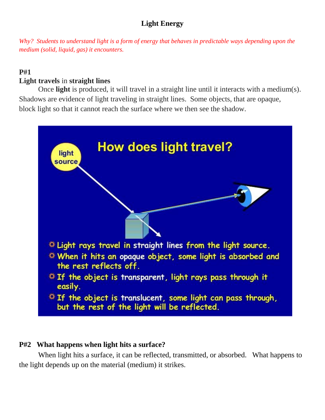# **Light Energy**

*Why? Students to understand light is a form of energy that behaves in predictable ways depending upon the medium (solid, liquid, gas) it encounters.*

# **P#1**

### **Light travels** in **straight lines**

Once **light** is produced, it will travel in a straight line until it interacts with a medium(s). Shadows are evidence of light traveling in straight lines. Some objects, that are opaque, block light so that it cannot reach the surface where we then see the shadow.



### **P#2 What happens when light hits a surface?**

When light hits a surface, it can be reflected, transmitted, or absorbed. What happens to the light depends up on the material (medium) it strikes.